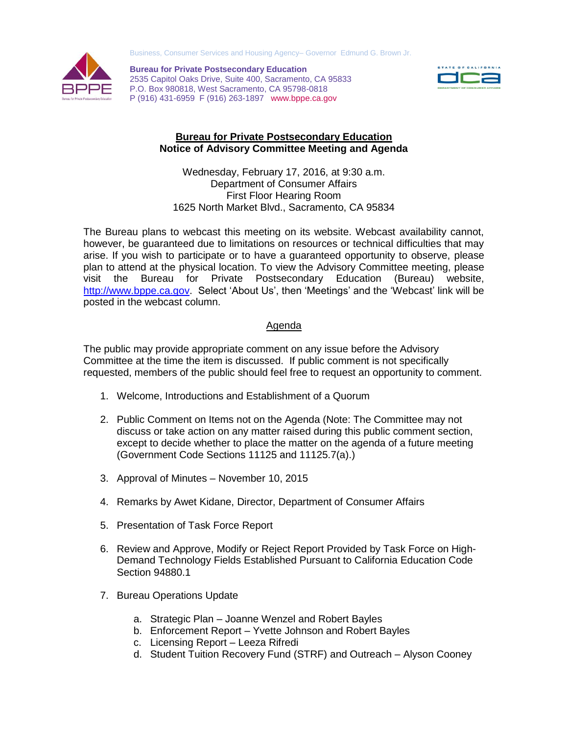Business, Consumer Services and Housing Agency– Governor Edmund G. Brown Jr.



 P (916) 431-6959 F (916) 263-1897 www.bppe.ca.gov **Bureau for Private Postsecondary Education**  2535 Capitol Oaks Drive, Suite 400, Sacramento, CA 95833 P.O. Box 980818, West Sacramento, CA 95798-0818



## **Bureau for Private Postsecondary Education Notice of Advisory Committee Meeting and Agenda**

 Wednesday, February 17, 2016, at 9:30 a.m. Department of Consumer Affairs First Floor Hearing Room 1625 North Market Blvd., Sacramento, CA 95834

 The Bureau plans to webcast this meeting on its website. Webcast availability cannot, however, be guaranteed due to limitations on resources or technical difficulties that may arise. If you wish to participate or to have a guaranteed opportunity to observe, please plan to attend at the physical location. To view the Advisory Committee meeting, please visit the [http://www.bppe.ca.gov.](http://www.bppe.ca.gov/) Select 'About Us', then 'Meetings' and the 'Webcast' link will be posted in the webcast column. Bureau for Private Postsecondary Education (Bureau) website,

## Agenda

 The public may provide appropriate comment on any issue before the Advisory Committee at the time the item is discussed. If public comment is not specifically requested, members of the public should feel free to request an opportunity to comment.

- 1. Welcome, Introductions and Establishment of a Quorum
- 2. Public Comment on Items not on the Agenda (Note: The Committee may not discuss or take action on any matter raised during this public comment section, except to decide whether to place the matter on the agenda of a future meeting (Government Code Sections 11125 and 11125.7(a).)
- 3. Approval of Minutes November 10, 2015
- 4. Remarks by Awet Kidane, Director, Department of Consumer Affairs
- 5. Presentation of Task Force Report
- 6. Review and Approve, Modify or Reject Report Provided by Task Force on High-Demand Technology Fields Established Pursuant to California Education Code Section 94880.1
- 7. Bureau Operations Update
	- a. Strategic Plan Joanne Wenzel and Robert Bayles
	- b. Enforcement Report Yvette Johnson and Robert Bayles
	- c. Licensing Report Leeza Rifredi
	- d. Student Tuition Recovery Fund (STRF) and Outreach Alyson Cooney